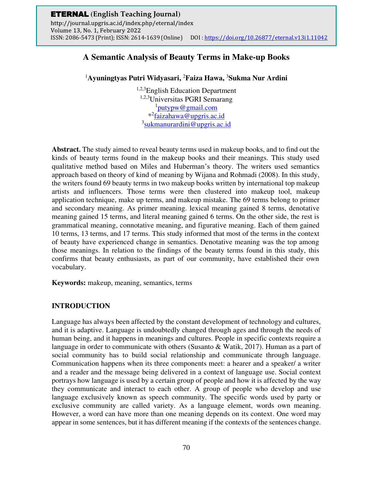# **A Semantic Analysis of Beauty Terms in Make-up Books**

<sup>1</sup>**Ayuningtyas Putri Widyasari,** <sup>2</sup>**Faiza Hawa,** <sup>3</sup>**Sukma Nur Ardini** 

1,2,3English Education Department 1,2,3Universitas PGRI Semarang <sup>1</sup>[putypw@gmail.com](mailto:putypw@gmail.com) \*<sup>2</sup>[faizahawa@upgris.ac.id](mailto:faizahawa@upgris.ac.id) <sup>3</sup>[sukmanurardini@upgris.ac.id](mailto:sukmanurardini@upgris.ac.id)

**Abstract.** The study aimed to reveal beauty terms used in makeup books, and to find out the kinds of beauty terms found in the makeup books and their meanings. This study used qualitative method based on Miles and Huberman's theory. The writers used semantics approach based on theory of kind of meaning by Wijana and Rohmadi (2008). In this study, the writers found 69 beauty terms in two makeup books written by international top makeup artists and influencers. Those terms were then clustered into makeup tool, makeup application technique, make up terms, and makeup mistake. The 69 terms belong to primer and secondary meaning. As primer meaning. lexical meaning gained 8 terms, denotative meaning gained 15 terms, and literal meaning gained 6 terms. On the other side, the rest is grammatical meaning, connotative meaning, and figurative meaning. Each of them gained 10 terms, 13 terms, and 17 terms. This study informed that most of the terms in the context of beauty have experienced change in semantics. Denotative meaning was the top among those meanings. In relation to the findings of the beauty terms found in this study, this confirms that beauty enthusiasts, as part of our community, have established their own vocabulary.

**Keywords:** makeup, meaning, semantics, terms

# **INTRODUCTION**

Language has always been affected by the constant development of technology and cultures, and it is adaptive. Language is undoubtedly changed through ages and through the needs of human being, and it happens in meanings and cultures. People in specific contexts require a language in order to communicate with others (Susanto & Watik, 2017). Human as a part of social community has to build social relationship and communicate through language. Communication happens when its three components meet: a hearer and a speaker/ a writer and a reader and the message being delivered in a context of language use. Social context portrays how language is used by a certain group of people and how it is affected by the way they communicate and interact to each other. A group of people who develop and use language exclusively known as speech community. The specific words used by party or exclusive community are called variety. As a language element, words own meaning. However, a word can have more than one meaning depends on its context. One word may appear in some sentences, but it has different meaning if the contexts of the sentences change.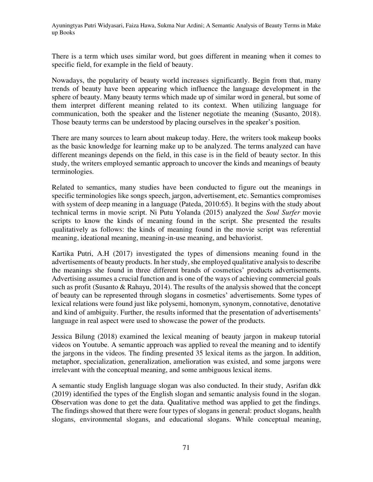There is a term which uses similar word, but goes different in meaning when it comes to specific field, for example in the field of beauty.

Nowadays, the popularity of beauty world increases significantly. Begin from that, many trends of beauty have been appearing which influence the language development in the sphere of beauty. Many beauty terms which made up of similar word in general, but some of them interpret different meaning related to its context. When utilizing language for communication, both the speaker and the listener negotiate the meaning (Susanto, 2018). Those beauty terms can be understood by placing ourselves in the speaker's position.

There are many sources to learn about makeup today. Here, the writers took makeup books as the basic knowledge for learning make up to be analyzed. The terms analyzed can have different meanings depends on the field, in this case is in the field of beauty sector. In this study, the writers employed semantic approach to uncover the kinds and meanings of beauty terminologies.

Related to semantics, many studies have been conducted to figure out the meanings in specific terminologies like songs speech, jargon, advertisement, etc. Semantics compromises with system of deep meaning in a language (Pateda, 2010:65). It begins with the study about technical terms in movie script. Ni Putu Yolanda (2015) analyzed the *Soul Surfer* movie scripts to know the kinds of meaning found in the script. She presented the results qualitatively as follows: the kinds of meaning found in the movie script was referential meaning, ideational meaning, meaning-in-use meaning, and behaviorist.

Kartika Putri, A.H (2017) investigated the types of dimensions meaning found in the advertisements of beauty products. In her study, she employed qualitative analysis to describe the meanings she found in three different brands of cosmetics' products advertisements. Advertising assumes a crucial function and is one of the ways of achieving commercial goals such as profit (Susanto & Rahayu, 2014). The results of the analysis showed that the concept of beauty can be represented through slogans in cosmetics' advertisements. Some types of lexical relations were found just like polysemi, homonym, synonym, connotative, denotative and kind of ambiguity. Further, the results informed that the presentation of advertisements' language in real aspect were used to showcase the power of the products.

Jessica Bilung (2018) examined the lexical meaning of beauty jargon in makeup tutorial videos on Youtube. A semantic approach was applied to reveal the meaning and to identify the jargons in the videos. The finding presented 35 lexical items as the jargon. In addition, metaphor, specialization, generalization, amelioration was existed, and some jargons were irrelevant with the conceptual meaning, and some ambiguous lexical items.

A semantic study English language slogan was also conducted. In their study, Asrifan dkk (2019) identified the types of the English slogan and semantic analysis found in the slogan. Observation was done to get the data. Qualitative method was applied to get the findings. The findings showed that there were four types of slogans in general: product slogans, health slogans, environmental slogans, and educational slogans. While conceptual meaning,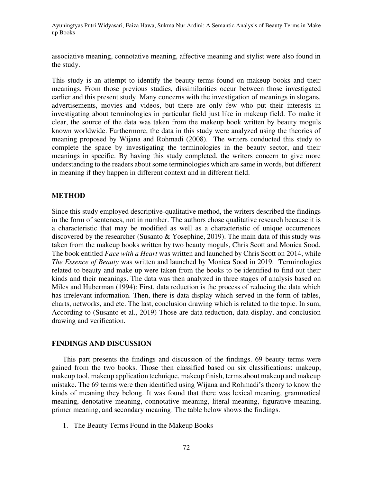associative meaning, connotative meaning, affective meaning and stylist were also found in the study.

This study is an attempt to identify the beauty terms found on makeup books and their meanings. From those previous studies, dissimilarities occur between those investigated earlier and this present study. Many concerns with the investigation of meanings in slogans, advertisements, movies and videos, but there are only few who put their interests in investigating about terminologies in particular field just like in makeup field. To make it clear, the source of the data was taken from the makeup book written by beauty moguls known worldwide. Furthermore, the data in this study were analyzed using the theories of meaning proposed by Wijana and Rohmadi (2008). The writers conducted this study to complete the space by investigating the terminologies in the beauty sector, and their meanings in specific. By having this study completed, the writers concern to give more understanding to the readers about some terminologies which are same in words, but different in meaning if they happen in different context and in different field.

# **METHOD**

Since this study employed descriptive-qualitative method, the writers described the findings in the form of sentences, not in number. The authors chose qualitative research because it is a characteristic that may be modified as well as a characteristic of unique occurrences discovered by the researcher (Susanto & Yosephine, 2019). The main data of this study was taken from the makeup books written by two beauty moguls, Chris Scott and Monica Sood. The book entitled *Face with a Heart* was written and launched by Chris Scott on 2014, while *The Essence of Beauty* was written and launched by Monica Sood in 2019. Terminologies related to beauty and make up were taken from the books to be identified to find out their kinds and their meanings. The data was then analyzed in three stages of analysis based on Miles and Huberman (1994): First, data reduction is the process of reducing the data which has irrelevant information. Then, there is data display which served in the form of tables, charts, networks, and etc. The last, conclusion drawing which is related to the topic. In sum, According to (Susanto et al., 2019) Those are data reduction, data display, and conclusion drawing and verification.

# **FINDINGS AND DISCUSSION**

This part presents the findings and discussion of the findings. 69 beauty terms were gained from the two books. Those then classified based on six classifications: makeup, makeup tool, makeup application technique, makeup finish, terms about makeup and makeup mistake. The 69 terms were then identified using Wijana and Rohmadi's theory to know the kinds of meaning they belong. It was found that there was lexical meaning, grammatical meaning, denotative meaning, connotative meaning, literal meaning, figurative meaning, primer meaning, and secondary meaning. The table below shows the findings.

1. The Beauty Terms Found in the Makeup Books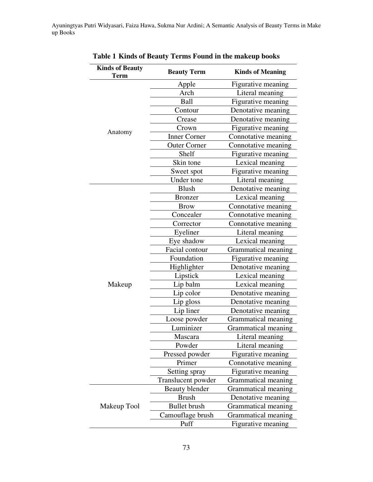| <b>Kinds of Beauty</b><br><b>Term</b> | <b>Beauty Term</b>  | <b>Kinds of Meaning</b> |
|---------------------------------------|---------------------|-------------------------|
| Anatomy                               | Apple               | Figurative meaning      |
|                                       | Arch                | Literal meaning         |
|                                       | Ball                | Figurative meaning      |
|                                       | Contour             | Denotative meaning      |
|                                       | Crease              | Denotative meaning      |
|                                       | Crown               | Figurative meaning      |
|                                       | <b>Inner Corner</b> | Connotative meaning     |
|                                       | <b>Outer Corner</b> | Connotative meaning     |
|                                       | Shelf               | Figurative meaning      |
|                                       | Skin tone           | Lexical meaning         |
|                                       | Sweet spot          | Figurative meaning      |
|                                       | Under tone          | Literal meaning         |
|                                       | <b>Blush</b>        | Denotative meaning      |
|                                       | <b>Bronzer</b>      | Lexical meaning         |
|                                       | <b>Brow</b>         | Connotative meaning     |
|                                       | Concealer           | Connotative meaning     |
|                                       | Corrector           | Connotative meaning     |
|                                       | Eyeliner            | Literal meaning         |
|                                       | Eye shadow          | Lexical meaning         |
|                                       | Facial contour      | Grammatical meaning     |
|                                       | Foundation          | Figurative meaning      |
|                                       | Highlighter         | Denotative meaning      |
|                                       | Lipstick            | Lexical meaning         |
| Makeup                                | Lip balm            | Lexical meaning         |
|                                       | Lip color           | Denotative meaning      |
|                                       | Lip gloss           | Denotative meaning      |
|                                       | Lip liner           | Denotative meaning      |
|                                       | Loose powder        | Grammatical meaning     |
|                                       | Luminizer           | Grammatical meaning     |
|                                       | Mascara             | Literal meaning         |
|                                       | Powder              | Literal meaning         |
|                                       | Pressed powder      | Figurative meaning      |
|                                       | Primer              | Connotative meaning     |
|                                       | Setting spray       | Figurative meaning      |
|                                       | Translucent powder  | Grammatical meaning     |
|                                       | Beauty blender      | Grammatical meaning     |
|                                       | <b>Brush</b>        | Denotative meaning      |
| Makeup Tool                           | <b>Bullet</b> brush | Grammatical meaning     |
|                                       | Camouflage brush    | Grammatical meaning     |
|                                       | Puff                | Figurative meaning      |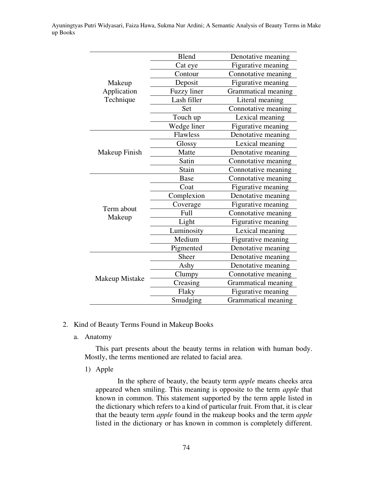|                                    | <b>Blend</b>       | Denotative meaning  |
|------------------------------------|--------------------|---------------------|
| Makeup<br>Application<br>Technique | Cat eye            | Figurative meaning  |
|                                    | Contour            | Connotative meaning |
|                                    | Deposit            | Figurative meaning  |
|                                    | <b>Fuzzy</b> liner | Grammatical meaning |
|                                    | Lash filler        | Literal meaning     |
|                                    | Set                | Connotative meaning |
|                                    | Touch up           | Lexical meaning     |
|                                    | Wedge liner        | Figurative meaning  |
|                                    | Flawless           | Denotative meaning  |
|                                    | Glossy             | Lexical meaning     |
| Makeup Finish                      | Matte              | Denotative meaning  |
|                                    | Satin              | Connotative meaning |
|                                    | Stain              | Connotative meaning |
|                                    | <b>Base</b>        | Connotative meaning |
|                                    | Coat               | Figurative meaning  |
|                                    | Complexion         | Denotative meaning  |
|                                    | Coverage           | Figurative meaning  |
| Term about                         | Full               | Connotative meaning |
| Makeup                             | Light              | Figurative meaning  |
|                                    | Luminosity         | Lexical meaning     |
|                                    | Medium             | Figurative meaning  |
|                                    | Pigmented          | Denotative meaning  |
|                                    | Sheer              | Denotative meaning  |
|                                    | Ashy               | Denotative meaning  |
|                                    | Clumpy             | Connotative meaning |
| Makeup Mistake                     | Creasing           | Grammatical meaning |
|                                    | Flaky              | Figurative meaning  |
|                                    | Smudging           | Grammatical meaning |

- 2. Kind of Beauty Terms Found in Makeup Books
	- a. Anatomy

This part presents about the beauty terms in relation with human body. Mostly, the terms mentioned are related to facial area.

1) Apple

In the sphere of beauty, the beauty term *apple* means cheeks area appeared when smiling. This meaning is opposite to the term *apple* that known in common. This statement supported by the term apple listed in the dictionary which refers to a kind of particular fruit. From that, it is clear that the beauty term *apple* found in the makeup books and the term *apple* listed in the dictionary or has known in common is completely different.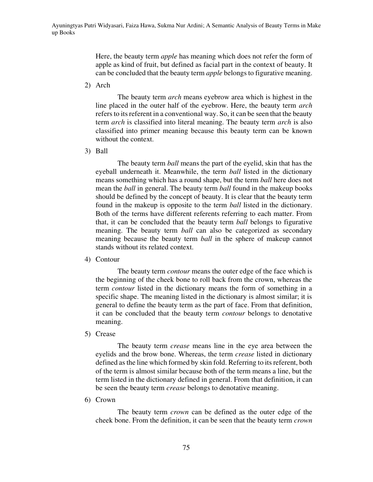Here, the beauty term *apple* has meaning which does not refer the form of apple as kind of fruit, but defined as facial part in the context of beauty. It can be concluded that the beauty term *apple* belongs to figurative meaning.

2) Arch

The beauty term *arch* means eyebrow area which is highest in the line placed in the outer half of the eyebrow. Here, the beauty term *arch* refers to its referent in a conventional way. So, it can be seen that the beauty term *arch* is classified into literal meaning. The beauty term *arch* is also classified into primer meaning because this beauty term can be known without the context.

3) Ball

The beauty term *ball* means the part of the eyelid, skin that has the eyeball underneath it. Meanwhile, the term *ball* listed in the dictionary means something which has a round shape, but the term *ball* here does not mean the *ball* in general. The beauty term *ball* found in the makeup books should be defined by the concept of beauty. It is clear that the beauty term found in the makeup is opposite to the term *ball* listed in the dictionary. Both of the terms have different referents referring to each matter. From that, it can be concluded that the beauty term *ball* belongs to figurative meaning. The beauty term *ball* can also be categorized as secondary meaning because the beauty term *ball* in the sphere of makeup cannot stands without its related context.

4) Contour

The beauty term *contour* means the outer edge of the face which is the beginning of the cheek bone to roll back from the crown, whereas the term *contour* listed in the dictionary means the form of something in a specific shape. The meaning listed in the dictionary is almost similar; it is general to define the beauty term as the part of face. From that definition, it can be concluded that the beauty term *contour* belongs to denotative meaning.

5) Crease

The beauty term *crease* means line in the eye area between the eyelids and the brow bone. Whereas, the term *crease* listed in dictionary defined as the line which formed by skin fold. Referring to its referent, both of the term is almost similar because both of the term means a line, but the term listed in the dictionary defined in general. From that definition, it can be seen the beauty term *crease* belongs to denotative meaning.

6) Crown

The beauty term *crown* can be defined as the outer edge of the cheek bone. From the definition, it can be seen that the beauty term *crown*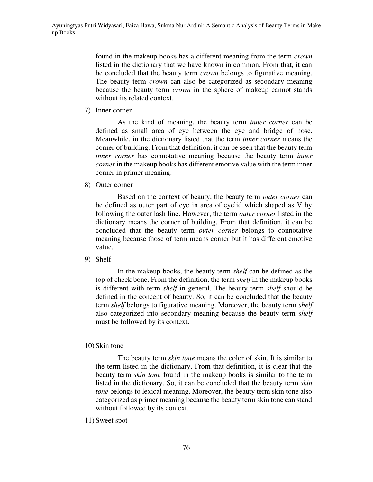found in the makeup books has a different meaning from the term *crown* listed in the dictionary that we have known in common. From that, it can be concluded that the beauty term *crown* belongs to figurative meaning. The beauty term *crown* can also be categorized as secondary meaning because the beauty term *crown* in the sphere of makeup cannot stands without its related context.

7) Inner corner

As the kind of meaning, the beauty term *inner corner* can be defined as small area of eye between the eye and bridge of nose. Meanwhile, in the dictionary listed that the term *inner corner* means the corner of building. From that definition, it can be seen that the beauty term *inner corner* has connotative meaning because the beauty term *inner corner* in the makeup books has different emotive value with the term inner corner in primer meaning.

8) Outer corner

Based on the context of beauty, the beauty term *outer corner* can be defined as outer part of eye in area of eyelid which shaped as V by following the outer lash line. However, the term *outer corner* listed in the dictionary means the corner of building. From that definition, it can be concluded that the beauty term *outer corner* belongs to connotative meaning because those of term means corner but it has different emotive value.

9) Shelf

In the makeup books, the beauty term *shelf* can be defined as the top of cheek bone. From the definition, the term *shelf* in the makeup books is different with term *shelf* in general. The beauty term *shelf* should be defined in the concept of beauty. So, it can be concluded that the beauty term *shelf* belongs to figurative meaning. Moreover, the beauty term *shelf* also categorized into secondary meaning because the beauty term *shelf* must be followed by its context.

10) Skin tone

The beauty term *skin tone* means the color of skin. It is similar to the term listed in the dictionary. From that definition, it is clear that the beauty term *skin tone* found in the makeup books is similar to the term listed in the dictionary. So, it can be concluded that the beauty term *skin tone* belongs to lexical meaning. Moreover, the beauty term skin tone also categorized as primer meaning because the beauty term skin tone can stand without followed by its context.

11) Sweet spot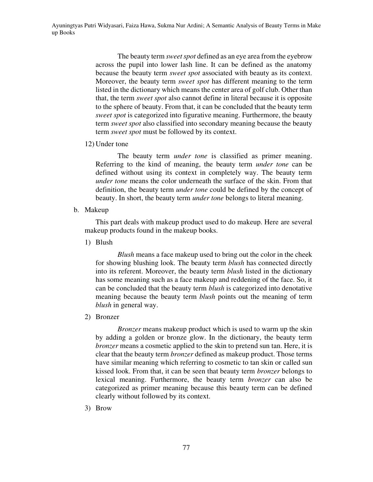The beauty term *sweet spot* defined as an eye area from the eyebrow across the pupil into lower lash line. It can be defined as the anatomy because the beauty term *sweet spot* associated with beauty as its context. Moreover, the beauty term *sweet spot* has different meaning to the term listed in the dictionary which means the center area of golf club. Other than that, the term *sweet spot* also cannot define in literal because it is opposite to the sphere of beauty. From that, it can be concluded that the beauty term *sweet spot* is categorized into figurative meaning. Furthermore, the beauty term *sweet spot* also classified into secondary meaning because the beauty term *sweet spot* must be followed by its context.

12) Under tone

The beauty term *under tone* is classified as primer meaning. Referring to the kind of meaning, the beauty term *under tone* can be defined without using its context in completely way. The beauty term *under tone* means the color underneath the surface of the skin. From that definition, the beauty term *under tone* could be defined by the concept of beauty. In short, the beauty term *under tone* belongs to literal meaning.

b. Makeup

This part deals with makeup product used to do makeup. Here are several makeup products found in the makeup books.

1) Blush

*Blush* means a face makeup used to bring out the color in the cheek for showing blushing look. The beauty term *blush* has connected directly into its referent. Moreover, the beauty term *blush* listed in the dictionary has some meaning such as a face makeup and reddening of the face. So, it can be concluded that the beauty term *blush* is categorized into denotative meaning because the beauty term *blush* points out the meaning of term *blush* in general way.

2) Bronzer

*Bronzer* means makeup product which is used to warm up the skin by adding a golden or bronze glow. In the dictionary, the beauty term *bronzer* means a cosmetic applied to the skin to pretend sun tan. Here, it is clear that the beauty term *bronzer* defined as makeup product. Those terms have similar meaning which referring to cosmetic to tan skin or called sun kissed look. From that, it can be seen that beauty term *bronzer* belongs to lexical meaning. Furthermore, the beauty term *bronzer* can also be categorized as primer meaning because this beauty term can be defined clearly without followed by its context.

3) Brow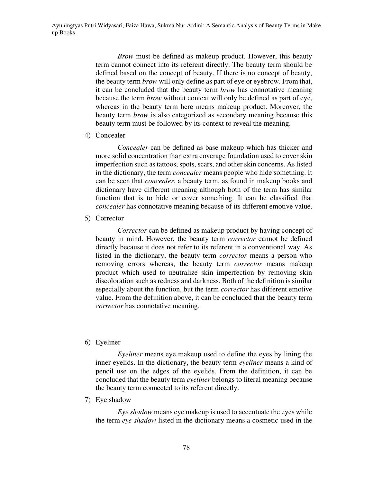*Brow* must be defined as makeup product. However, this beauty term cannot connect into its referent directly. The beauty term should be defined based on the concept of beauty. If there is no concept of beauty, the beauty term *brow* will only define as part of eye or eyebrow. From that, it can be concluded that the beauty term *brow* has connotative meaning because the term *brow* without context will only be defined as part of eye, whereas in the beauty term here means makeup product. Moreover, the beauty term *brow* is also categorized as secondary meaning because this beauty term must be followed by its context to reveal the meaning.

4) Concealer

*Concealer* can be defined as base makeup which has thicker and more solid concentration than extra coverage foundation used to cover skin imperfection such as tattoos, spots, scars, and other skin concerns. As listed in the dictionary, the term *concealer* means people who hide something. It can be seen that *concealer*, a beauty term, as found in makeup books and dictionary have different meaning although both of the term has similar function that is to hide or cover something. It can be classified that *concealer* has connotative meaning because of its different emotive value.

5) Corrector

*Corrector* can be defined as makeup product by having concept of beauty in mind. However, the beauty term *corrector* cannot be defined directly because it does not refer to its referent in a conventional way. As listed in the dictionary, the beauty term *corrector* means a person who removing errors whereas, the beauty term *corrector* means makeup product which used to neutralize skin imperfection by removing skin discoloration such as redness and darkness. Both of the definition is similar especially about the function, but the term *corrector* has different emotive value. From the definition above, it can be concluded that the beauty term *corrector* has connotative meaning.

6) Eyeliner

*Eyeliner* means eye makeup used to define the eyes by lining the inner eyelids. In the dictionary, the beauty term *eyeliner* means a kind of pencil use on the edges of the eyelids. From the definition, it can be concluded that the beauty term *eyeliner* belongs to literal meaning because the beauty term connected to its referent directly.

7) Eye shadow

*Eye shadow* means eye makeup is used to accentuate the eyes while the term *eye shadow* listed in the dictionary means a cosmetic used in the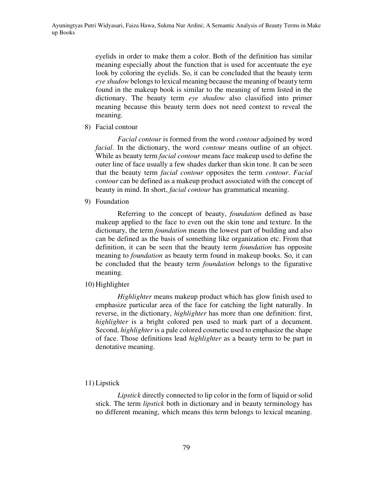eyelids in order to make them a color. Both of the definition has similar meaning especially about the function that is used for accentuate the eye look by coloring the eyelids. So, it can be concluded that the beauty term *eye shadow* belongs to lexical meaning because the meaning of beauty term found in the makeup book is similar to the meaning of term listed in the dictionary. The beauty term *eye shadow* also classified into primer meaning because this beauty term does not need context to reveal the meaning.

8) Facial contour

*Facial contour* is formed from the word *contour* adjoined by word *facial*. In the dictionary, the word *contour* means outline of an object. While as beauty term *facial contour* means face makeup used to define the outer line of face usually a few shades darker than skin tone. It can be seen that the beauty term *facial contour* opposites the term *contour*. *Facial contour* can be defined as a makeup product associated with the concept of beauty in mind. In short, *facial contour* has grammatical meaning.

9) Foundation

Referring to the concept of beauty, *foundation* defined as base makeup applied to the face to even out the skin tone and texture. In the dictionary, the term *foundation* means the lowest part of building and also can be defined as the basis of something like organization etc. From that definition, it can be seen that the beauty term *foundation* has opposite meaning to *foundation* as beauty term found in makeup books. So, it can be concluded that the beauty term *foundation* belongs to the figurative meaning.

10) Highlighter

*Highlighter* means makeup product which has glow finish used to emphasize particular area of the face for catching the light naturally. In reverse, in the dictionary, *highlighter* has more than one definition: first, *highlighter* is a bright colored pen used to mark part of a document. Second, *highlighter* is a pale colored cosmetic used to emphasize the shape of face. Those definitions lead *highlighter* as a beauty term to be part in denotative meaning.

# 11) Lipstick

*Lipstick* directly connected to lip color in the form of liquid or solid stick. The term *lipstick* both in dictionary and in beauty terminology has no different meaning, which means this term belongs to lexical meaning.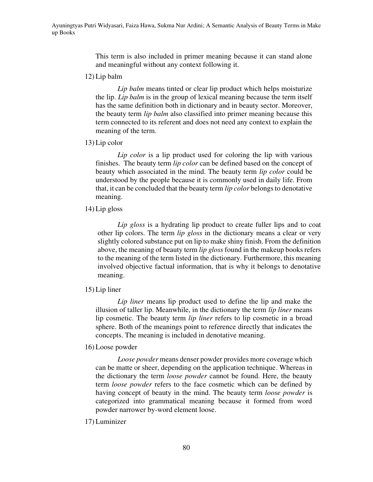This term is also included in primer meaning because it can stand alone and meaningful without any context following it.

12) Lip balm

*Lip balm* means tinted or clear lip product which helps moisturize the lip. *Lip balm* is in the group of lexical meaning because the term itself has the same definition both in dictionary and in beauty sector. Moreover, the beauty term *lip balm* also classified into primer meaning because this term connected to its referent and does not need any context to explain the meaning of the term.

13) Lip color

*Lip color* is a lip product used for coloring the lip with various finishes. The beauty term *lip color* can be defined based on the concept of beauty which associated in the mind. The beauty term *lip color* could be understood by the people because it is commonly used in daily life. From that, it can be concluded that the beauty term *lip color* belongs to denotative meaning.

14) Lip gloss

*Lip gloss* is a hydrating lip product to create fuller lips and to coat other lip colors. The term *lip gloss* in the dictionary means a clear or very slightly colored substance put on lip to make shiny finish. From the definition above, the meaning of beauty term *lip gloss* found in the makeup books refers to the meaning of the term listed in the dictionary. Furthermore, this meaning involved objective factual information, that is why it belongs to denotative meaning.

15) Lip liner

*Lip liner* means lip product used to define the lip and make the illusion of taller lip. Meanwhile, in the dictionary the term *lip liner* means lip cosmetic. The beauty term *lip liner* refers to lip cosmetic in a broad sphere. Both of the meanings point to reference directly that indicates the concepts. The meaning is included in denotative meaning.

16) Loose powder

*Loose powder* means denser powder provides more coverage which can be matte or sheer, depending on the application technique. Whereas in the dictionary the term *loose powder* cannot be found. Here, the beauty term *loose powder* refers to the face cosmetic which can be defined by having concept of beauty in the mind. The beauty term *loose powder* is categorized into grammatical meaning because it formed from word powder narrower by-word element loose.

17) Luminizer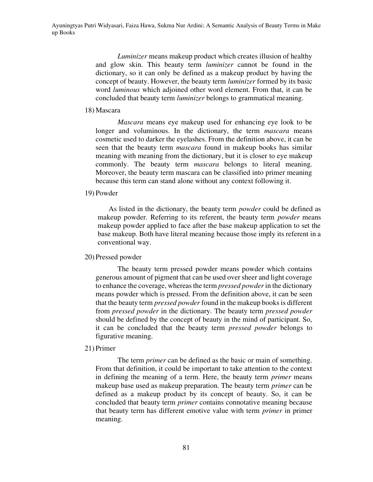*Luminizer* means makeup product which creates illusion of healthy and glow skin. This beauty term *luminizer* cannot be found in the dictionary, so it can only be defined as a makeup product by having the concept of beauty. However, the beauty term *luminizer* formed by its basic word *luminous* which adjoined other word element. From that, it can be concluded that beauty term *luminizer* belongs to grammatical meaning.

### 18) Mascara

*Mascara* means eye makeup used for enhancing eye look to be longer and voluminous. In the dictionary, the term *mascara* means cosmetic used to darker the eyelashes. From the definition above, it can be seen that the beauty term *mascara* found in makeup books has similar meaning with meaning from the dictionary, but it is closer to eye makeup commonly. The beauty term *mascara* belongs to literal meaning. Moreover, the beauty term mascara can be classified into primer meaning because this term can stand alone without any context following it.

### 19) Powder

As listed in the dictionary, the beauty term *powder* could be defined as makeup powder. Referring to its referent, the beauty term *powder* means makeup powder applied to face after the base makeup application to set the base makeup. Both have literal meaning because those imply its referent in a conventional way.

#### 20) Pressed powder

The beauty term pressed powder means powder which contains generous amount of pigment that can be used over sheer and light coverage to enhance the coverage, whereas the term *pressed powder* in the dictionary means powder which is pressed. From the definition above, it can be seen that the beauty term *pressed powder* found in the makeup books is different from *pressed powder* in the dictionary. The beauty term *pressed powder* should be defined by the concept of beauty in the mind of participant. So, it can be concluded that the beauty term *pressed powder* belongs to figurative meaning.

# 21) Primer

The term *primer* can be defined as the basic or main of something. From that definition, it could be important to take attention to the context in defining the meaning of a term. Here, the beauty term *primer* means makeup base used as makeup preparation. The beauty term *primer* can be defined as a makeup product by its concept of beauty. So, it can be concluded that beauty term *primer* contains connotative meaning because that beauty term has different emotive value with term *primer* in primer meaning.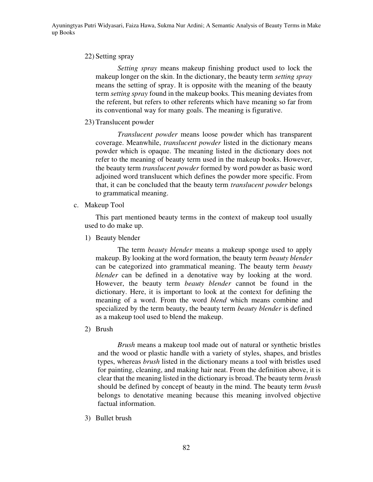# 22) Setting spray

*Setting spray* means makeup finishing product used to lock the makeup longer on the skin. In the dictionary, the beauty term *setting spray* means the setting of spray. It is opposite with the meaning of the beauty term *setting spray* found in the makeup books. This meaning deviates from the referent, but refers to other referents which have meaning so far from its conventional way for many goals. The meaning is figurative.

23) Translucent powder

*Translucent powder* means loose powder which has transparent coverage. Meanwhile, *translucent powder* listed in the dictionary means powder which is opaque. The meaning listed in the dictionary does not refer to the meaning of beauty term used in the makeup books. However, the beauty term *translucent powder* formed by word powder as basic word adjoined word translucent which defines the powder more specific. From that, it can be concluded that the beauty term *translucent powder* belongs to grammatical meaning.

c. Makeup Tool

This part mentioned beauty terms in the context of makeup tool usually used to do make up.

1) Beauty blender

The term *beauty blender* means a makeup sponge used to apply makeup. By looking at the word formation, the beauty term *beauty blender* can be categorized into grammatical meaning. The beauty term *beauty blender* can be defined in a denotative way by looking at the word. However, the beauty term *beauty blender* cannot be found in the dictionary. Here, it is important to look at the context for defining the meaning of a word. From the word *blend* which means combine and specialized by the term beauty, the beauty term *beauty blender* is defined as a makeup tool used to blend the makeup.

2) Brush

*Brush* means a makeup tool made out of natural or synthetic bristles and the wood or plastic handle with a variety of styles, shapes, and bristles types, whereas *brush* listed in the dictionary means a tool with bristles used for painting, cleaning, and making hair neat. From the definition above, it is clear that the meaning listed in the dictionary is broad. The beauty term *brush* should be defined by concept of beauty in the mind. The beauty term *brush* belongs to denotative meaning because this meaning involved objective factual information.

3) Bullet brush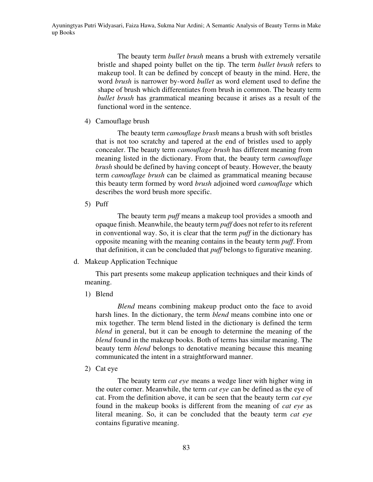The beauty term *bullet brush* means a brush with extremely versatile bristle and shaped pointy bullet on the tip. The term *bullet brush* refers to makeup tool. It can be defined by concept of beauty in the mind. Here, the word *brush* is narrower by-word *bullet* as word element used to define the shape of brush which differentiates from brush in common. The beauty term *bullet brush* has grammatical meaning because it arises as a result of the functional word in the sentence.

4) Camouflage brush

The beauty term *camouflage brush* means a brush with soft bristles that is not too scratchy and tapered at the end of bristles used to apply concealer. The beauty term *camouflage brush* has different meaning from meaning listed in the dictionary. From that, the beauty term *camouflage brush* should be defined by having concept of beauty. However, the beauty term *camouflage brush* can be claimed as grammatical meaning because this beauty term formed by word *brush* adjoined word *camouflage* which describes the word brush more specific.

5) Puff

The beauty term *puff* means a makeup tool provides a smooth and opaque finish. Meanwhile, the beauty term *puff* does not refer to its referent in conventional way. So, it is clear that the term *puff* in the dictionary has opposite meaning with the meaning contains in the beauty term *puff*. From that definition, it can be concluded that *puff* belongs to figurative meaning.

d. Makeup Application Technique

This part presents some makeup application techniques and their kinds of meaning.

1) Blend

*Blend* means combining makeup product onto the face to avoid harsh lines. In the dictionary, the term *blend* means combine into one or mix together. The term blend listed in the dictionary is defined the term *blend* in general, but it can be enough to determine the meaning of the *blend* found in the makeup books. Both of terms has similar meaning. The beauty term *blend* belongs to denotative meaning because this meaning communicated the intent in a straightforward manner.

2) Cat eye

The beauty term *cat eye* means a wedge liner with higher wing in the outer corner. Meanwhile, the term *cat eye* can be defined as the eye of cat. From the definition above, it can be seen that the beauty term *cat eye* found in the makeup books is different from the meaning of *cat eye* as literal meaning. So, it can be concluded that the beauty term *cat eye* contains figurative meaning.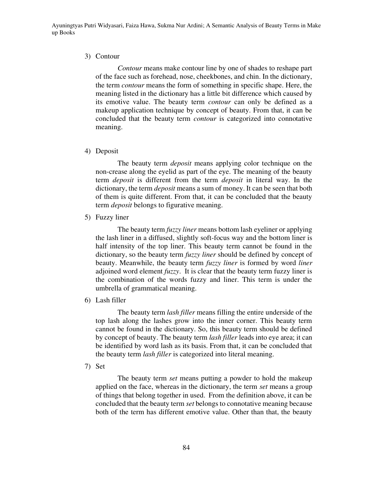# 3) Contour

*Contour* means make contour line by one of shades to reshape part of the face such as forehead, nose, cheekbones, and chin. In the dictionary, the term *contour* means the form of something in specific shape. Here, the meaning listed in the dictionary has a little bit difference which caused by its emotive value. The beauty term *contour* can only be defined as a makeup application technique by concept of beauty. From that, it can be concluded that the beauty term *contour* is categorized into connotative meaning.

# 4) Deposit

The beauty term *deposit* means applying color technique on the non-crease along the eyelid as part of the eye. The meaning of the beauty term *deposit* is different from the term *deposit* in literal way. In the dictionary, the term *deposit* means a sum of money. It can be seen that both of them is quite different. From that, it can be concluded that the beauty term *deposit* belongs to figurative meaning.

5) Fuzzy liner

The beauty term *fuzzy liner* means bottom lash eyeliner or applying the lash liner in a diffused, slightly soft-focus way and the bottom liner is half intensity of the top liner. This beauty term cannot be found in the dictionary, so the beauty term *fuzzy liner* should be defined by concept of beauty. Meanwhile, the beauty term *fuzzy liner* is formed by word *liner* adjoined word element *fuzzy*. It is clear that the beauty term fuzzy liner is the combination of the words fuzzy and liner. This term is under the umbrella of grammatical meaning.

6) Lash filler

The beauty term *lash filler* means filling the entire underside of the top lash along the lashes grow into the inner corner. This beauty term cannot be found in the dictionary. So, this beauty term should be defined by concept of beauty. The beauty term *lash filler* leads into eye area; it can be identified by word lash as its basis. From that, it can be concluded that the beauty term *lash filler* is categorized into literal meaning.

7) Set

The beauty term *set* means putting a powder to hold the makeup applied on the face, whereas in the dictionary, the term *set* means a group of things that belong together in used. From the definition above, it can be concluded that the beauty term *set* belongs to connotative meaning because both of the term has different emotive value. Other than that, the beauty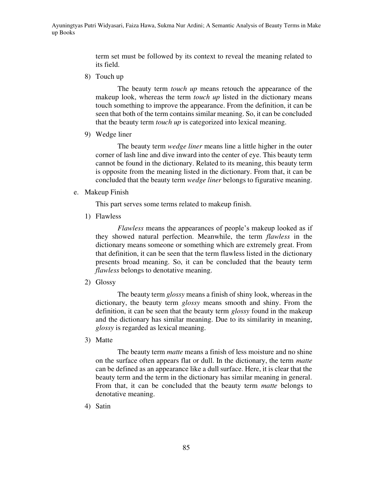term set must be followed by its context to reveal the meaning related to its field.

8) Touch up

The beauty term *touch up* means retouch the appearance of the makeup look, whereas the term *touch up* listed in the dictionary means touch something to improve the appearance. From the definition, it can be seen that both of the term contains similar meaning. So, it can be concluded that the beauty term *touch up* is categorized into lexical meaning.

9) Wedge liner

The beauty term *wedge liner* means line a little higher in the outer corner of lash line and dive inward into the center of eye. This beauty term cannot be found in the dictionary. Related to its meaning, this beauty term is opposite from the meaning listed in the dictionary. From that, it can be concluded that the beauty term *wedge liner* belongs to figurative meaning.

e. Makeup Finish

This part serves some terms related to makeup finish.

1) Flawless

*Flawless* means the appearances of people's makeup looked as if they showed natural perfection. Meanwhile, the term *flawless* in the dictionary means someone or something which are extremely great. From that definition, it can be seen that the term flawless listed in the dictionary presents broad meaning. So, it can be concluded that the beauty term *flawless* belongs to denotative meaning.

2) Glossy

The beauty term *glossy* means a finish of shiny look, whereas in the dictionary, the beauty term *glossy* means smooth and shiny. From the definition, it can be seen that the beauty term *glossy* found in the makeup and the dictionary has similar meaning. Due to its similarity in meaning, *glossy* is regarded as lexical meaning.

3) Matte

The beauty term *matte* means a finish of less moisture and no shine on the surface often appears flat or dull. In the dictionary, the term *matte* can be defined as an appearance like a dull surface. Here, it is clear that the beauty term and the term in the dictionary has similar meaning in general. From that, it can be concluded that the beauty term *matte* belongs to denotative meaning.

4) Satin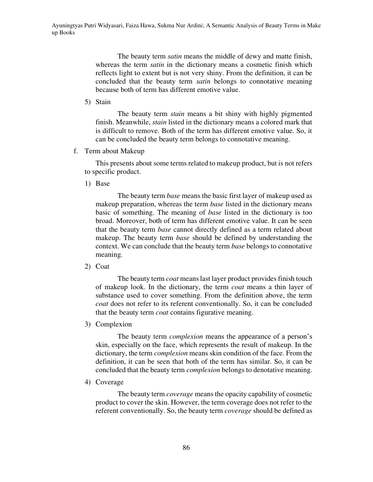The beauty term *satin* means the middle of dewy and matte finish, whereas the term *satin* in the dictionary means a cosmetic finish which reflects light to extent but is not very shiny. From the definition, it can be concluded that the beauty term *satin* belongs to connotative meaning because both of term has different emotive value.

5) Stain

The beauty term *stain* means a bit shiny with highly pigmented finish. Meanwhile, *stain* listed in the dictionary means a colored mark that is difficult to remove. Both of the term has different emotive value. So, it can be concluded the beauty term belongs to connotative meaning.

f. Term about Makeup

This presents about some terms related to makeup product, but is not refers to specific product.

1) Base

The beauty term *base* means the basic first layer of makeup used as makeup preparation, whereas the term *base* listed in the dictionary means basic of something. The meaning of *base* listed in the dictionary is too broad. Moreover, both of term has different emotive value. It can be seen that the beauty term *base* cannot directly defined as a term related about makeup. The beauty term *base* should be defined by understanding the context. We can conclude that the beauty term *base* belongs to connotative meaning.

2) Coat

The beauty term *coat* means last layer product provides finish touch of makeup look. In the dictionary, the term *coat* means a thin layer of substance used to cover something. From the definition above, the term *coat* does not refer to its referent conventionally. So, it can be concluded that the beauty term *coat* contains figurative meaning.

3) Complexion

The beauty term *complexion* means the appearance of a person's skin, especially on the face, which represents the result of makeup. In the dictionary, the term *complexion* means skin condition of the face. From the definition, it can be seen that both of the term has similar. So, it can be concluded that the beauty term *complexion* belongs to denotative meaning.

4) Coverage

The beauty term *coverage* means the opacity capability of cosmetic product to cover the skin. However, the term coverage does not refer to the referent conventionally. So, the beauty term *coverage* should be defined as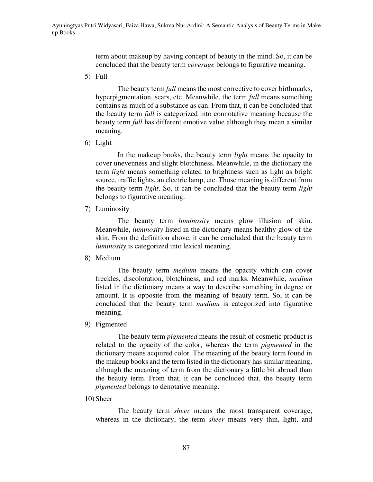term about makeup by having concept of beauty in the mind. So, it can be concluded that the beauty term *coverage* belongs to figurative meaning.

5) Full

The beauty term *full* means the most corrective to cover birthmarks, hyperpigmentation, scars, etc. Meanwhile, the term *full* means something contains as much of a substance as can. From that, it can be concluded that the beauty term *full* is categorized into connotative meaning because the beauty term *full* has different emotive value although they mean a similar meaning.

6) Light

In the makeup books, the beauty term *light* means the opacity to cover unevenness and slight blotchiness. Meanwhile, in the dictionary the term *light* means something related to brightness such as light as bright source, traffic lights, an electric lamp, etc. Those meaning is different from the beauty term *light*. So, it can be concluded that the beauty term *light* belongs to figurative meaning.

7) Luminosity

The beauty term *luminosity* means glow illusion of skin. Meanwhile, *luminosity* listed in the dictionary means healthy glow of the skin. From the definition above, it can be concluded that the beauty term *luminosity* is categorized into lexical meaning.

8) Medium

The beauty term *medium* means the opacity which can cover freckles, discoloration, blotchiness, and red marks. Meanwhile, *medium* listed in the dictionary means a way to describe something in degree or amount. It is opposite from the meaning of beauty term. So, it can be concluded that the beauty term *medium* is categorized into figurative meaning.

9) Pigmented

The beauty term *pigmented* means the result of cosmetic product is related to the opacity of the color, whereas the term *pigmented* in the dictionary means acquired color. The meaning of the beauty term found in the makeup books and the term listed in the dictionary has similar meaning, although the meaning of term from the dictionary a little bit abroad than the beauty term. From that, it can be concluded that, the beauty term *pigmented* belongs to denotative meaning.

10) Sheer

The beauty term *sheer* means the most transparent coverage, whereas in the dictionary, the term *sheer* means very thin, light, and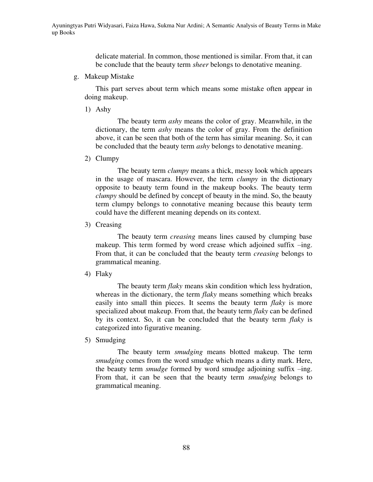delicate material. In common, those mentioned is similar. From that, it can be conclude that the beauty term *sheer* belongs to denotative meaning.

g. Makeup Mistake

This part serves about term which means some mistake often appear in doing makeup.

1) Ashy

The beauty term *ashy* means the color of gray. Meanwhile, in the dictionary, the term *ashy* means the color of gray. From the definition above, it can be seen that both of the term has similar meaning. So, it can be concluded that the beauty term *ashy* belongs to denotative meaning.

2) Clumpy

The beauty term *clumpy* means a thick, messy look which appears in the usage of mascara. However, the term *clumpy* in the dictionary opposite to beauty term found in the makeup books. The beauty term *clumpy* should be defined by concept of beauty in the mind. So, the beauty term clumpy belongs to connotative meaning because this beauty term could have the different meaning depends on its context.

3) Creasing

The beauty term *creasing* means lines caused by clumping base makeup. This term formed by word crease which adjoined suffix –ing. From that, it can be concluded that the beauty term *creasing* belongs to grammatical meaning.

4) Flaky

The beauty term *flaky* means skin condition which less hydration, whereas in the dictionary, the term *flaky* means something which breaks easily into small thin pieces. It seems the beauty term *flaky* is more specialized about makeup. From that, the beauty term *flaky* can be defined by its context. So, it can be concluded that the beauty term *flaky* is categorized into figurative meaning.

5) Smudging

The beauty term *smudging* means blotted makeup. The term *smudging* comes from the word smudge which means a dirty mark. Here, the beauty term *smudge* formed by word smudge adjoining suffix –ing. From that, it can be seen that the beauty term *smudging* belongs to grammatical meaning.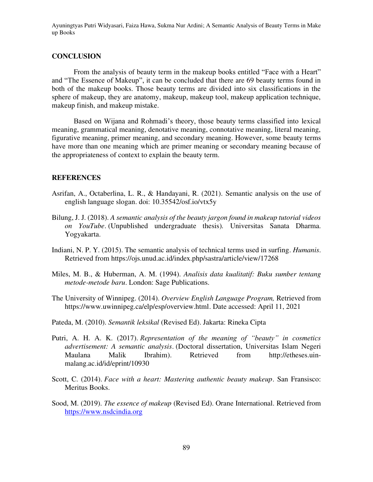# **CONCLUSION**

From the analysis of beauty term in the makeup books entitled "Face with a Heart" and "The Essence of Makeup", it can be concluded that there are 69 beauty terms found in both of the makeup books. Those beauty terms are divided into six classifications in the sphere of makeup, they are anatomy, makeup, makeup tool, makeup application technique, makeup finish, and makeup mistake.

Based on Wijana and Rohmadi's theory, those beauty terms classified into lexical meaning, grammatical meaning, denotative meaning, connotative meaning, literal meaning, figurative meaning, primer meaning, and secondary meaning. However, some beauty terms have more than one meaning which are primer meaning or secondary meaning because of the appropriateness of context to explain the beauty term.

# **REFERENCES**

- Asrifan, A., Octaberlina, L. R., & Handayani, R. (2021). Semantic analysis on the use of english language slogan. doi: 10.35542/osf.io/vtx5y
- Bilung, J. J. (2018). *A semantic analysis of the beauty jargon found in makeup tutorial videos on YouTube*. (Unpublished undergraduate thesis)*.* Universitas Sanata Dharma. Yogyakarta.
- Indiani, N. P. Y. (2015). The semantic analysis of technical terms used in surfing. *Humanis*. Retrieved from<https://ojs.unud.ac.id/index.php/sastra/article/view/17268>
- Miles, M. B., & Huberman, A. M. (1994). *Analisis data kualitatif: Buku sumber tentang metode-metode baru*. London: Sage Publications.
- The University of Winnipeg. (2014). *Overview English Language Program,* Retrieved from [https://www.uwinnipeg.ca/elp/esp/overview.html.](https://www.uwinnipeg.ca/elp/esp/overview.html) Date accessed: April 11, 2021
- Pateda, M. (2010). *Semantik leksikal* (Revised Ed). Jakarta: Rineka Cipta
- Putri, A. H. A. K. (2017). *Representation of the meaning of "beauty" in cosmetics advertisement: A semantic analysis*. (Doctoral dissertation, Universitas Islam Negeri Maulana Malik Ibrahim). Retrieved from [http://etheses.uin](http://etheses.uin-malang.ac.id/id/eprint/10930)[malang.ac.id/id/eprint/10930](http://etheses.uin-malang.ac.id/id/eprint/10930)
- Scott, C. (2014). *Face with a heart: Mastering authentic beauty makeup*. San Fransisco: Meritus Books.
- Sood, M. (2019). *The essence of makeup* (Revised Ed). Orane International. Retrieved from [https://www.nsdcindia.org](https://www.nsdcindia.org/)